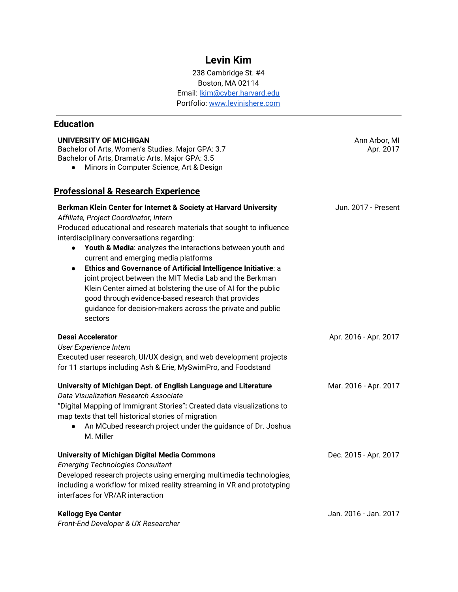## **Levin Kim**

238 Cambridge St. #4 Boston, MA 02114 Email: [lkim@cyber.harvard.edu](mailto:lkim@cyber.harvard.edu) Portfolio: [www.levinishere.com](http://www.levinishere.com/)

## **Education**

| UNIVERSITY OF MICHIGAN<br>Bachelor of Arts, Women's Studies. Major GPA: 3.7<br>Bachelor of Arts, Dramatic Arts. Major GPA: 3.5<br>Minors in Computer Science, Art & Design                                                                                                                                                                                                                                                                                                                                                                                                                                                                                                                     | Ann Arbor, MI<br>Apr. 2017 |
|------------------------------------------------------------------------------------------------------------------------------------------------------------------------------------------------------------------------------------------------------------------------------------------------------------------------------------------------------------------------------------------------------------------------------------------------------------------------------------------------------------------------------------------------------------------------------------------------------------------------------------------------------------------------------------------------|----------------------------|
| <u> Professional &amp; Research Experience</u>                                                                                                                                                                                                                                                                                                                                                                                                                                                                                                                                                                                                                                                 |                            |
| Berkman Klein Center for Internet & Society at Harvard University<br>Affiliate, Project Coordinator, Intern<br>Produced educational and research materials that sought to influence<br>interdisciplinary conversations regarding:<br>Youth & Media: analyzes the interactions between youth and<br>$\bullet$<br>current and emerging media platforms<br>Ethics and Governance of Artificial Intelligence Initiative: a<br>$\bullet$<br>joint project between the MIT Media Lab and the Berkman<br>Klein Center aimed at bolstering the use of AI for the public<br>good through evidence-based research that provides<br>guidance for decision-makers across the private and public<br>sectors | Jun. 2017 - Present        |
| Desai Accelerator<br>User Experience Intern<br>Executed user research, UI/UX design, and web development projects<br>for 11 startups including Ash & Erie, MySwimPro, and Foodstand                                                                                                                                                                                                                                                                                                                                                                                                                                                                                                            | Apr. 2016 - Apr. 2017      |
| University of Michigan Dept. of English Language and Literature<br>Data Visualization Research Associate<br>"Digital Mapping of Immigrant Stories": Created data visualizations to<br>map texts that tell historical stories of migration<br>An MCubed research project under the guidance of Dr. Joshua<br>$\bullet$<br>M. Miller                                                                                                                                                                                                                                                                                                                                                             | Mar. 2016 - Apr. 2017      |
| <b>University of Michigan Digital Media Commons</b><br><b>Emerging Technologies Consultant</b><br>Developed research projects using emerging multimedia technologies,<br>including a workflow for mixed reality streaming in VR and prototyping<br>interfaces for VR/AR interaction                                                                                                                                                                                                                                                                                                                                                                                                            | Dec. 2015 - Apr. 2017      |
| <b>Kellogg Eye Center</b><br>$\Gamma$ as at $\Gamma$ and $\Gamma$ arrangement $\Omega$ , IN Decomposition                                                                                                                                                                                                                                                                                                                                                                                                                                                                                                                                                                                      | Jan. 2016 - Jan. 2017      |

*Front-End Developer & UX Researcher*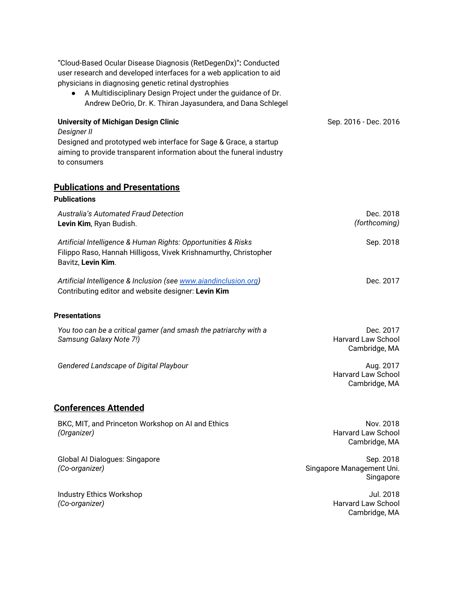| "Cloud-Based Ocular Disease Diagnosis (RetDegenDx)": Conducted<br>user research and developed interfaces for a web application to aid<br>physicians in diagnosing genetic retinal dystrophies<br>A Multidisciplinary Design Project under the guidance of Dr.<br>Andrew DeOrio, Dr. K. Thiran Jayasundera, and Dana Schlegel |                                                         |
|------------------------------------------------------------------------------------------------------------------------------------------------------------------------------------------------------------------------------------------------------------------------------------------------------------------------------|---------------------------------------------------------|
| <b>University of Michigan Design Clinic</b>                                                                                                                                                                                                                                                                                  | Sep. 2016 - Dec. 2016                                   |
| <b>Designer II</b><br>Designed and prototyped web interface for Sage & Grace, a startup<br>aiming to provide transparent information about the funeral industry<br>to consumers                                                                                                                                              |                                                         |
| <b>Publications and Presentations</b><br><b>Publications</b>                                                                                                                                                                                                                                                                 |                                                         |
| Australia's Automated Fraud Detection<br>Levin Kim, Ryan Budish.                                                                                                                                                                                                                                                             | Dec. 2018<br>(forthcoming)                              |
| Artificial Intelligence & Human Rights: Opportunities & Risks<br>Filippo Raso, Hannah Hilligoss, Vivek Krishnamurthy, Christopher<br>Bavitz, Levin Kim.                                                                                                                                                                      | Sep. 2018                                               |
| Artificial Intelligence & Inclusion (see www.aiandinclusion.org)<br>Contributing editor and website designer: Levin Kim                                                                                                                                                                                                      | Dec. 2017                                               |
| <b>Presentations</b>                                                                                                                                                                                                                                                                                                         |                                                         |
| You too can be a critical gamer (and smash the patriarchy with a<br>Samsung Galaxy Note 7!)                                                                                                                                                                                                                                  | Dec. 2017<br><b>Harvard Law School</b><br>Cambridge, MA |
| Gendered Landscape of Digital Playbour                                                                                                                                                                                                                                                                                       | Aug. 2017<br><b>Harvard Law School</b><br>Cambridge, MA |
| <b>Conferences Attended</b>                                                                                                                                                                                                                                                                                                  |                                                         |
| BKC, MIT, and Princeton Workshop on AI and Ethics<br>(Organizer)                                                                                                                                                                                                                                                             | Nov. 2018<br><b>Harvard Law School</b><br>Cambridge, MA |
| Global Al Dialogues: Singapore<br>(Co-organizer)                                                                                                                                                                                                                                                                             | Sep. 2018<br>Singapore Management Uni.<br>Singapore     |
| Industry Ethics Workshop<br>(Co-organizer)                                                                                                                                                                                                                                                                                   | Jul. 2018<br><b>Harvard Law School</b>                  |

Cambridge, MA